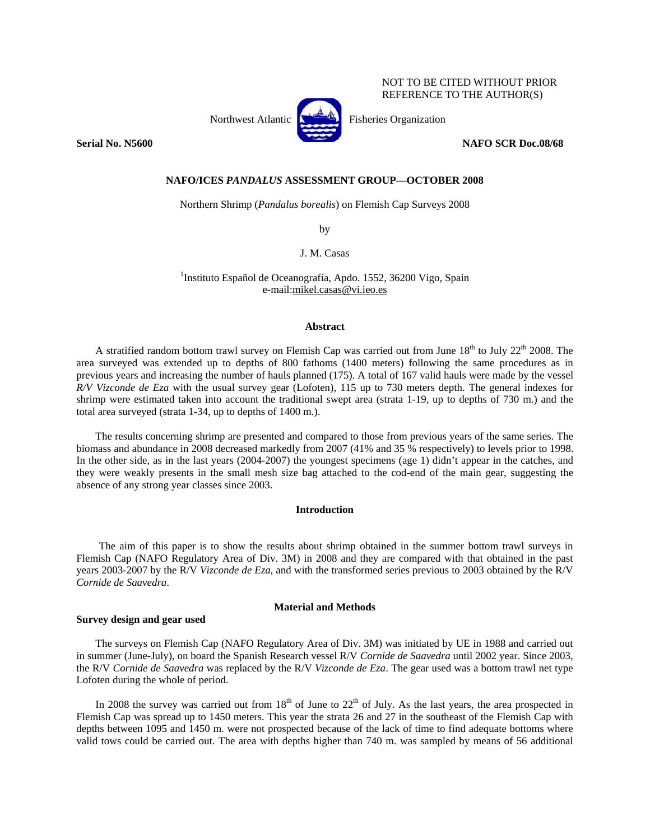NOT TO BE CITED WITHOUT PRIOR REFERENCE TO THE AUTHOR(S)



Northwest Atlantic **No. 3. Executes** Fisheries Organization

**Serial No. N5600** NAFO SCR Doc.08/68

## **NAFO/ICES** *PANDALUS* **ASSESSMENT GROUP—OCTOBER 2008**

Northern Shrimp (*Pandalus borealis*) on Flemish Cap Surveys 2008

by

J. M. Casas

<sup>1</sup>Instituto Español de Oceanografía, Apdo. 1552, 36200 Vigo, Spain e-mail:mikel.casas@vi.ieo.es

## **Abstract**

A stratified random bottom trawl survey on Flemish Cap was carried out from June  $18<sup>th</sup>$  to July  $22<sup>th</sup>$  2008. The area surveyed was extended up to depths of 800 fathoms (1400 meters) following the same procedures as in previous years and increasing the number of hauls planned (175). A total of 167 valid hauls were made by the vessel *R/V Vizconde de Eza* with the usual survey gear (Lofoten)*,* 115 up to 730 meters depth. The general indexes for shrimp were estimated taken into account the traditional swept area (strata 1-19, up to depths of 730 m.) and the total area surveyed (strata 1-34, up to depths of 1400 m.).

The results concerning shrimp are presented and compared to those from previous years of the same series. The biomass and abundance in 2008 decreased markedly from 2007 (41% and 35 % respectively) to levels prior to 1998. In the other side, as in the last years (2004-2007) the youngest specimens (age 1) didn't appear in the catches, and they were weakly presents in the small mesh size bag attached to the cod-end of the main gear, suggesting the absence of any strong year classes since 2003.

#### **Introduction**

The aim of this paper is to show the results about shrimp obtained in the summer bottom trawl surveys in Flemish Cap (NAFO Regulatory Area of Div. 3M) in 2008 and they are compared with that obtained in the past years 2003-2007 by the R/V *Vizconde de Eza*, and with the transformed series previous to 2003 obtained by the R/V *Cornide de Saavedra*.

### **Material and Methods**

## **Survey design and gear used**

The surveys on Flemish Cap (NAFO Regulatory Area of Div. 3M) was initiated by UE in 1988 and carried out in summer (June-July), on board the Spanish Research vessel R/V *Cornide de Saavedra* until 2002 year. Since 2003, the R/V *Cornide de Saavedra* was replaced by the R/V *Vizconde de Eza*. The gear used was a bottom trawl net type Lofoten during the whole of period.

In 2008 the survey was carried out from  $18<sup>th</sup>$  of June to  $22<sup>th</sup>$  of July. As the last years, the area prospected in Flemish Cap was spread up to 1450 meters. This year the strata 26 and 27 in the southeast of the Flemish Cap with depths between 1095 and 1450 m. were not prospected because of the lack of time to find adequate bottoms where valid tows could be carried out. The area with depths higher than 740 m. was sampled by means of 56 additional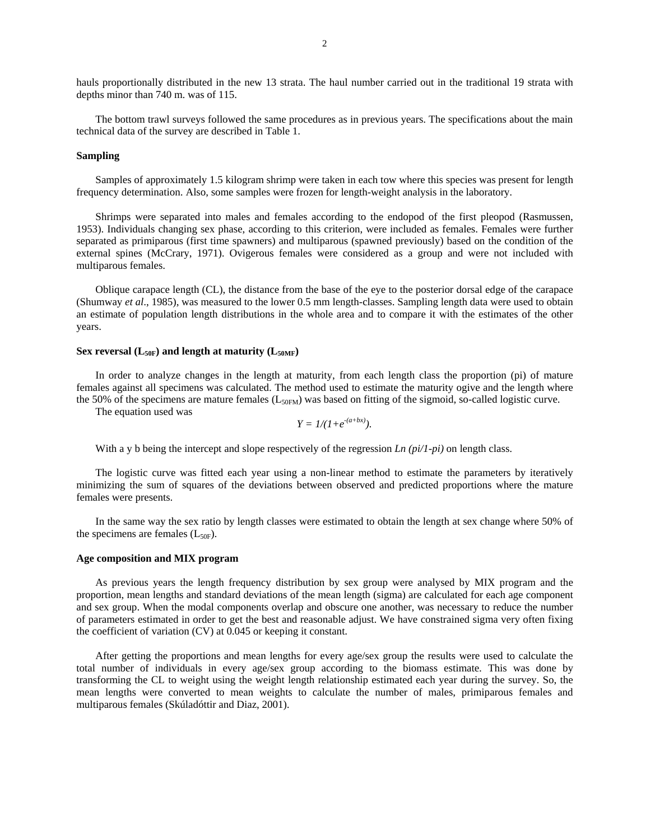hauls proportionally distributed in the new 13 strata. The haul number carried out in the traditional 19 strata with depths minor than 740 m. was of 115.

The bottom trawl surveys followed the same procedures as in previous years. The specifications about the main technical data of the survey are described in Table 1.

## **Sampling**

Samples of approximately 1.5 kilogram shrimp were taken in each tow where this species was present for length frequency determination. Also, some samples were frozen for length-weight analysis in the laboratory.

Shrimps were separated into males and females according to the endopod of the first pleopod (Rasmussen, 1953). Individuals changing sex phase, according to this criterion, were included as females. Females were further separated as primiparous (first time spawners) and multiparous (spawned previously) based on the condition of the external spines (McCrary, 1971). Ovigerous females were considered as a group and were not included with multiparous females.

Oblique carapace length (CL), the distance from the base of the eye to the posterior dorsal edge of the carapace (Shumway *et al*., 1985), was measured to the lower 0.5 mm length-classes. Sampling length data were used to obtain an estimate of population length distributions in the whole area and to compare it with the estimates of the other years.

## Sex reversal  $(L_{50F})$  and length at maturity  $(L_{50MF})$

In order to analyze changes in the length at maturity, from each length class the proportion (pi) of mature females against all specimens was calculated. The method used to estimate the maturity ogive and the length where the 50% of the specimens are mature females ( $L_{50FM}$ ) was based on fitting of the sigmoid, so-called logistic curve.

The equation used was

$$
Y = 1/(1+e^{-(a+bx)}).
$$

With a y b being the intercept and slope respectively of the regression *Ln (pi/1-pi)* on length class.

The logistic curve was fitted each year using a non-linear method to estimate the parameters by iteratively minimizing the sum of squares of the deviations between observed and predicted proportions where the mature females were presents.

In the same way the sex ratio by length classes were estimated to obtain the length at sex change where 50% of the specimens are females  $(L_{50F})$ .

### **Age composition and MIX program**

As previous years the length frequency distribution by sex group were analysed by MIX program and the proportion, mean lengths and standard deviations of the mean length (sigma) are calculated for each age component and sex group. When the modal components overlap and obscure one another, was necessary to reduce the number of parameters estimated in order to get the best and reasonable adjust. We have constrained sigma very often fixing the coefficient of variation (CV) at 0.045 or keeping it constant.

After getting the proportions and mean lengths for every age/sex group the results were used to calculate the total number of individuals in every age/sex group according to the biomass estimate. This was done by transforming the CL to weight using the weight length relationship estimated each year during the survey. So, the mean lengths were converted to mean weights to calculate the number of males, primiparous females and multiparous females (Skúladóttir and Diaz, 2001).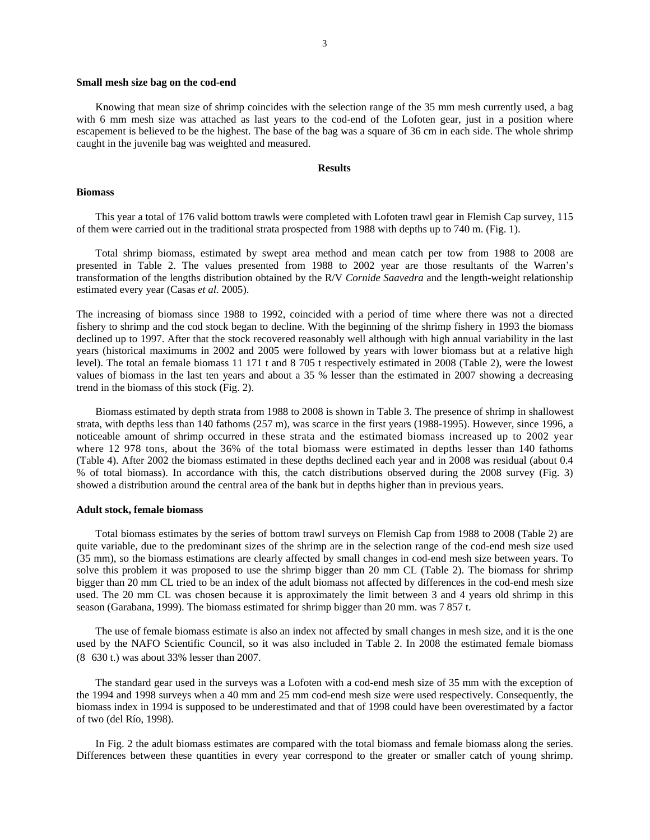#### **Small mesh size bag on the cod-end**

Knowing that mean size of shrimp coincides with the selection range of the 35 mm mesh currently used, a bag with 6 mm mesh size was attached as last years to the cod-end of the Lofoten gear, just in a position where escapement is believed to be the highest. The base of the bag was a square of 36 cm in each side. The whole shrimp caught in the juvenile bag was weighted and measured.

# **Results**

#### **Biomass**

This year a total of 176 valid bottom trawls were completed with Lofoten trawl gear in Flemish Cap survey, 115 of them were carried out in the traditional strata prospected from 1988 with depths up to 740 m. (Fig. 1).

Total shrimp biomass, estimated by swept area method and mean catch per tow from 1988 to 2008 are presented in Table 2. The values presented from 1988 to 2002 year are those resultants of the Warren's transformation of the lengths distribution obtained by the R/V *Cornide Saavedra* and the length-weight relationship estimated every year (Casas *et al.* 2005).

The increasing of biomass since 1988 to 1992, coincided with a period of time where there was not a directed fishery to shrimp and the cod stock began to decline. With the beginning of the shrimp fishery in 1993 the biomass declined up to 1997. After that the stock recovered reasonably well although with high annual variability in the last years (historical maximums in 2002 and 2005 were followed by years with lower biomass but at a relative high level). The total an female biomass 11 171 t and 8 705 t respectively estimated in 2008 (Table 2), were the lowest values of biomass in the last ten years and about a 35 % lesser than the estimated in 2007 showing a decreasing trend in the biomass of this stock (Fig. 2).

Biomass estimated by depth strata from 1988 to 2008 is shown in Table 3. The presence of shrimp in shallowest strata, with depths less than 140 fathoms (257 m), was scarce in the first years (1988-1995). However, since 1996, a noticeable amount of shrimp occurred in these strata and the estimated biomass increased up to 2002 year where 12 978 tons, about the 36% of the total biomass were estimated in depths lesser than 140 fathoms (Table 4). After 2002 the biomass estimated in these depths declined each year and in 2008 was residual (about 0.4 % of total biomass). In accordance with this, the catch distributions observed during the 2008 survey (Fig. 3) showed a distribution around the central area of the bank but in depths higher than in previous years.

#### **Adult stock, female biomass**

Total biomass estimates by the series of bottom trawl surveys on Flemish Cap from 1988 to 2008 (Table 2) are quite variable, due to the predominant sizes of the shrimp are in the selection range of the cod-end mesh size used (35 mm), so the biomass estimations are clearly affected by small changes in cod-end mesh size between years. To solve this problem it was proposed to use the shrimp bigger than 20 mm CL (Table 2). The biomass for shrimp bigger than 20 mm CL tried to be an index of the adult biomass not affected by differences in the cod-end mesh size used. The 20 mm CL was chosen because it is approximately the limit between 3 and 4 years old shrimp in this season (Garabana, 1999). The biomass estimated for shrimp bigger than 20 mm. was 7 857 t.

The use of female biomass estimate is also an index not affected by small changes in mesh size, and it is the one used by the NAFO Scientific Council, so it was also included in Table 2. In 2008 the estimated female biomass (8\_630 t.) was about 33% lesser than 2007.

The standard gear used in the surveys was a Lofoten with a cod-end mesh size of 35 mm with the exception of the 1994 and 1998 surveys when a 40 mm and 25 mm cod-end mesh size were used respectively. Consequently, the biomass index in 1994 is supposed to be underestimated and that of 1998 could have been overestimated by a factor of two (del Río, 1998).

In Fig. 2 the adult biomass estimates are compared with the total biomass and female biomass along the series. Differences between these quantities in every year correspond to the greater or smaller catch of young shrimp.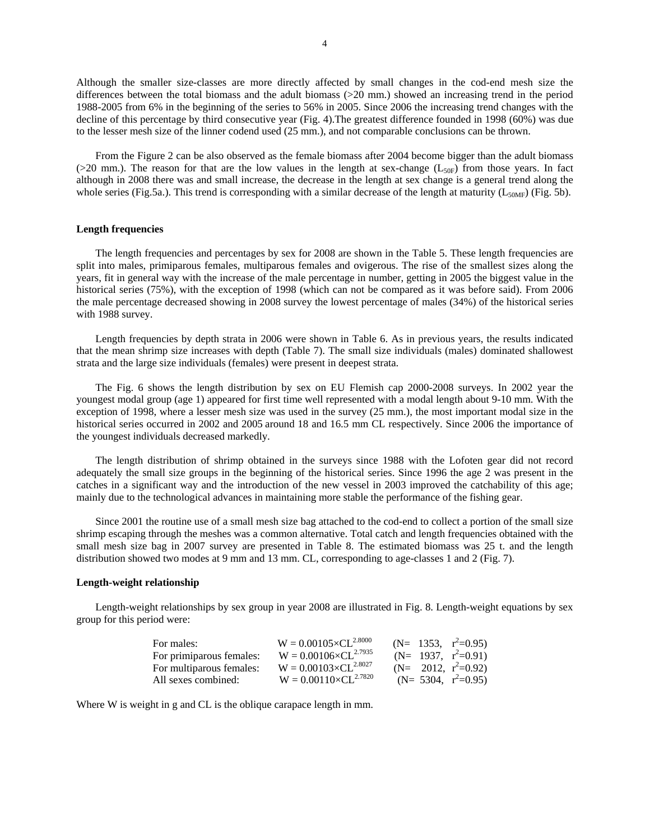Although the smaller size-classes are more directly affected by small changes in the cod-end mesh size the differences between the total biomass and the adult biomass (>20 mm.) showed an increasing trend in the period 1988-2005 from 6% in the beginning of the series to 56% in 2005. Since 2006 the increasing trend changes with the decline of this percentage by third consecutive year (Fig. 4).The greatest difference founded in 1998 (60%) was due to the lesser mesh size of the linner codend used (25 mm.), and not comparable conclusions can be thrown.

From the Figure 2 can be also observed as the female biomass after 2004 become bigger than the adult biomass ( $>20$  mm.). The reason for that are the low values in the length at sex-change ( $L_{50F}$ ) from those years. In fact although in 2008 there was and small increase, the decrease in the length at sex change is a general trend along the whole series (Fig.5a.). This trend is corresponding with a similar decrease of the length at maturity ( $L_{50MF}$ ) (Fig. 5b).

## **Length frequencies**

The length frequencies and percentages by sex for 2008 are shown in the Table 5. These length frequencies are split into males, primiparous females, multiparous females and ovigerous. The rise of the smallest sizes along the years, fit in general way with the increase of the male percentage in number, getting in 2005 the biggest value in the historical series (75%), with the exception of 1998 (which can not be compared as it was before said). From 2006 the male percentage decreased showing in 2008 survey the lowest percentage of males (34%) of the historical series with 1988 survey.

Length frequencies by depth strata in 2006 were shown in Table 6. As in previous years, the results indicated that the mean shrimp size increases with depth (Table 7). The small size individuals (males) dominated shallowest strata and the large size individuals (females) were present in deepest strata.

The Fig. 6 shows the length distribution by sex on EU Flemish cap 2000-2008 surveys. In 2002 year the youngest modal group (age 1) appeared for first time well represented with a modal length about 9-10 mm. With the exception of 1998, where a lesser mesh size was used in the survey (25 mm.), the most important modal size in the historical series occurred in 2002 and 2005 around 18 and 16.5 mm CL respectively. Since 2006 the importance of the youngest individuals decreased markedly.

The length distribution of shrimp obtained in the surveys since 1988 with the Lofoten gear did not record adequately the small size groups in the beginning of the historical series. Since 1996 the age 2 was present in the catches in a significant way and the introduction of the new vessel in 2003 improved the catchability of this age; mainly due to the technological advances in maintaining more stable the performance of the fishing gear.

Since 2001 the routine use of a small mesh size bag attached to the cod-end to collect a portion of the small size shrimp escaping through the meshes was a common alternative. Total catch and length frequencies obtained with the small mesh size bag in 2007 survey are presented in Table 8. The estimated biomass was 25 t. and the length distribution showed two modes at 9 mm and 13 mm. CL, corresponding to age-classes 1 and 2 (Fig. 7).

## **Length-weight relationship**

Length-weight relationships by sex group in year 2008 are illustrated in Fig. 8. Length-weight equations by sex group for this period were:

| For males:               | $W = 0.00105 \times CL^{2.8000}$ |  | (N= 1353, $r^2=0.95$ ) |
|--------------------------|----------------------------------|--|------------------------|
| For primiparous females: | $W = 0.00106 \times CL^{2.7935}$ |  | (N= 1937, $r^2=0.91$ ) |
| For multiparous females: | $W = 0.00103 \times CL^{2.8027}$ |  | $(N= 2012, r^2=0.92)$  |
| All sexes combined:      | $W = 0.00110 \times CL^{2.7820}$ |  | (N= 5304, $r^2=0.95$ ) |

Where W is weight in g and CL is the oblique carapace length in mm.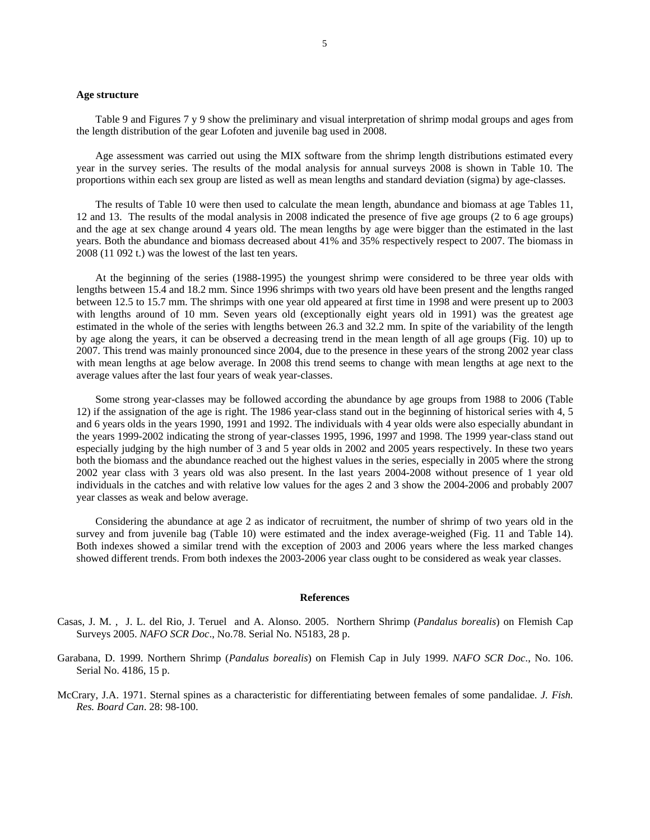### **Age structure**

Table 9 and Figures 7 y 9 show the preliminary and visual interpretation of shrimp modal groups and ages from the length distribution of the gear Lofoten and juvenile bag used in 2008.

Age assessment was carried out using the MIX software from the shrimp length distributions estimated every year in the survey series. The results of the modal analysis for annual surveys 2008 is shown in Table 10. The proportions within each sex group are listed as well as mean lengths and standard deviation (sigma) by age-classes.

The results of Table 10 were then used to calculate the mean length, abundance and biomass at age Tables 11, 12 and 13. The results of the modal analysis in 2008 indicated the presence of five age groups (2 to 6 age groups) and the age at sex change around 4 years old. The mean lengths by age were bigger than the estimated in the last years. Both the abundance and biomass decreased about 41% and 35% respectively respect to 2007. The biomass in 2008 (11 092 t.) was the lowest of the last ten years.

At the beginning of the series (1988-1995) the youngest shrimp were considered to be three year olds with lengths between 15.4 and 18.2 mm. Since 1996 shrimps with two years old have been present and the lengths ranged between 12.5 to 15.7 mm. The shrimps with one year old appeared at first time in 1998 and were present up to 2003 with lengths around of 10 mm. Seven years old (exceptionally eight years old in 1991) was the greatest age estimated in the whole of the series with lengths between 26.3 and 32.2 mm. In spite of the variability of the length by age along the years, it can be observed a decreasing trend in the mean length of all age groups (Fig. 10) up to 2007. This trend was mainly pronounced since 2004, due to the presence in these years of the strong 2002 year class with mean lengths at age below average. In 2008 this trend seems to change with mean lengths at age next to the average values after the last four years of weak year-classes.

Some strong year-classes may be followed according the abundance by age groups from 1988 to 2006 (Table 12) if the assignation of the age is right. The 1986 year-class stand out in the beginning of historical series with 4, 5 and 6 years olds in the years 1990, 1991 and 1992. The individuals with 4 year olds were also especially abundant in the years 1999-2002 indicating the strong of year-classes 1995, 1996, 1997 and 1998. The 1999 year-class stand out especially judging by the high number of 3 and 5 year olds in 2002 and 2005 years respectively. In these two years both the biomass and the abundance reached out the highest values in the series, especially in 2005 where the strong 2002 year class with 3 years old was also present. In the last years 2004-2008 without presence of 1 year old individuals in the catches and with relative low values for the ages 2 and 3 show the 2004-2006 and probably 2007 year classes as weak and below average.

Considering the abundance at age 2 as indicator of recruitment, the number of shrimp of two years old in the survey and from juvenile bag (Table 10) were estimated and the index average-weighed (Fig. 11 and Table 14). Both indexes showed a similar trend with the exception of 2003 and 2006 years where the less marked changes showed different trends. From both indexes the 2003-2006 year class ought to be considered as weak year classes.

#### **References**

- Casas, J. M. , J. L. del Rio, J. Teruel and A. Alonso. 2005. Northern Shrimp (*Pandalus borealis*) on Flemish Cap Surveys 2005. *NAFO SCR Doc*., No.78. Serial No. N5183, 28 p.
- Garabana, D. 1999. Northern Shrimp (*Pandalus borealis*) on Flemish Cap in July 1999. *NAFO SCR Doc*., No. 106. Serial No. 4186, 15 p.
- McCrary, J.A. 1971. Sternal spines as a characteristic for differentiating between females of some pandalidae. *J. Fish. Res. Board Can*. 28: 98-100.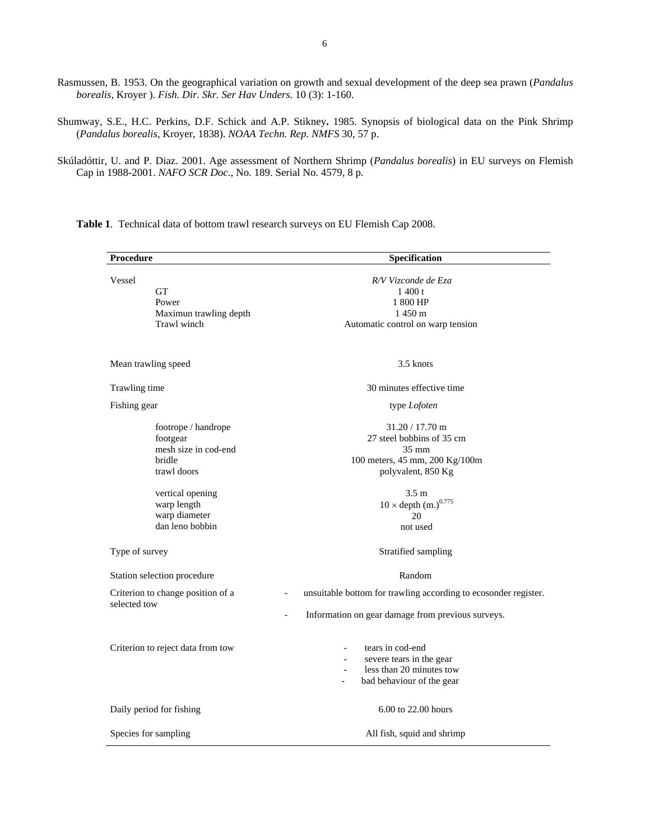Rasmussen, B. 1953. On the geographical variation on growth and sexual development of the deep sea prawn (*Pandalus borealis*, Kroyer ). *Fish. Dir. Skr. Ser Hav Unders*. 10 (3): 1-160.

Shumway, S.E., H.C. Perkins, D.F. Schick and A.P. Stikney**.** 1985. Synopsis of biological data on the Pink Shrimp (*Pandalus borealis*, Kroyer, 1838). *NOAA Techn. Rep. NMFS* 30, 57 p.

Skúladóttir, U. and P. Diaz. 2001. Age assessment of Northern Shrimp (*Pandalus borealis*) in EU surveys on Flemish Cap in 1988-2001. *NAFO SCR Doc*., No. 189. Serial No. 4579, 8 p.

Procedure Specification **Specification** Vessel **GT** Power Maximun trawling depth Trawl winch *R/V Vizconde de Eza*  1 400 t 1 800 HP 1 450 m Automatic control on warp tension Mean trawling speed 3.5 knots 3.5 knots Trawling time 30 minutes effective time Fishing gear footrope / handrope footgear mesh size in cod-end bridle trawl doors type *Lofoten*  31.20 / 17.70 m 27 steel bobbins of 35 cm 35 mm 100 meters, 45 mm, 200 Kg/100m polyvalent, 850 Kg vertical opening warp length warp diameter dan leno bobbin 3.5 m  $10 \times$  depth  $(m.)^{0.775}$ 20 not used Type of survey Stratified sampling Stratified sampling Station selection procedure Random Criterion to change position of a selected tow unsuitable bottom for trawling according to ecosonder register. Information on gear damage from previous surveys. Criterion to reject data from tow - tears in cod-end severe tears in the gear less than 20 minutes tow bad behaviour of the gear Daily period for fishing 6.00 to 22.00 hours Species for sampling All fish, squid and shrimp

**Table 1**. Technical data of bottom trawl research surveys on EU Flemish Cap 2008.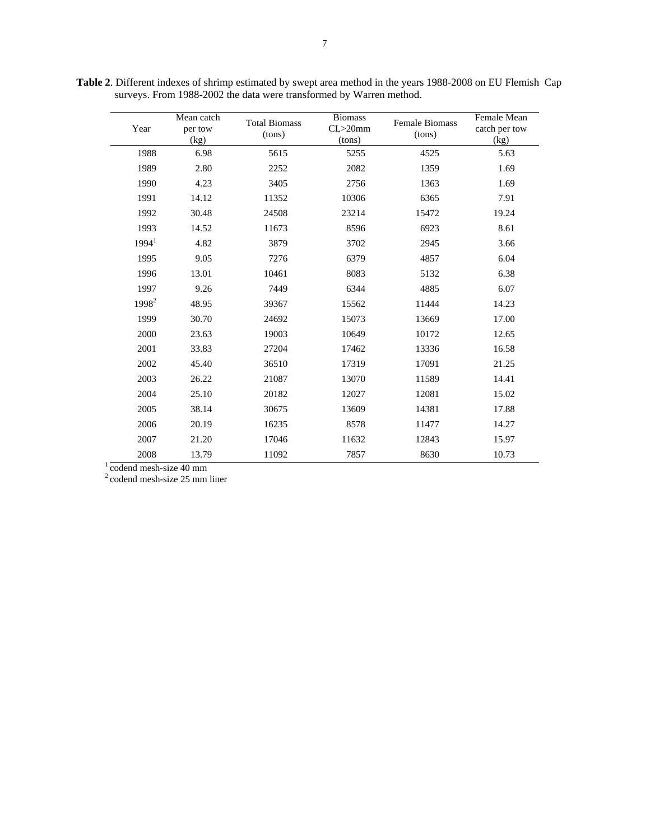| Year                   | Mean catch<br>per tow<br>(kg) | <b>Total Biomass</b><br>(tons) | <b>Biomass</b><br>$CL > 20$ mm<br>(tons) | Female Biomass<br>(tons) | Female Mean<br>catch per tow<br>(kg) |
|------------------------|-------------------------------|--------------------------------|------------------------------------------|--------------------------|--------------------------------------|
| 1988                   | 6.98                          | 5615                           | 5255                                     | 4525                     | 5.63                                 |
| 1989                   | 2.80                          | 2252                           | 2082                                     | 1359                     | 1.69                                 |
| 1990                   | 4.23                          | 3405                           | 2756                                     | 1363                     | 1.69                                 |
| 1991                   | 14.12                         | 11352                          | 10306                                    | 6365                     | 7.91                                 |
| 1992                   | 30.48                         | 24508                          | 23214                                    | 15472                    | 19.24                                |
| 1993                   | 14.52                         | 11673                          | 8596                                     | 6923                     | 8.61                                 |
| 1994 <sup>1</sup>      | 4.82                          | 3879                           | 3702                                     | 2945                     | 3.66                                 |
| 1995                   | 9.05                          | 7276                           | 6379                                     | 4857                     | 6.04                                 |
| 1996                   | 13.01                         | 10461                          | 8083                                     | 5132                     | 6.38                                 |
| 1997                   | 9.26                          | 7449                           | 6344                                     | 4885                     | 6.07                                 |
| 1998 <sup>2</sup>      | 48.95                         | 39367                          | 15562                                    | 11444                    | 14.23                                |
| 1999                   | 30.70                         | 24692                          | 15073                                    | 13669                    | 17.00                                |
| 2000                   | 23.63                         | 19003                          | 10649                                    | 10172                    | 12.65                                |
| 2001                   | 33.83                         | 27204                          | 17462                                    | 13336                    | 16.58                                |
| 2002                   | 45.40                         | 36510                          | 17319                                    | 17091                    | 21.25                                |
| 2003                   | 26.22                         | 21087                          | 13070                                    | 11589                    | 14.41                                |
| 2004                   | 25.10                         | 20182                          | 12027                                    | 12081                    | 15.02                                |
| 2005                   | 38.14                         | 30675                          | 13609                                    | 14381                    | 17.88                                |
| 2006                   | 20.19                         | 16235                          | 8578                                     | 11477                    | 14.27                                |
| 2007                   | 21.20                         | 17046                          | 11632                                    | 12843                    | 15.97                                |
| 2008                   | 13.79                         | 11092                          | 7857                                     | 8630                     | 10.73                                |
| codend mesh-size 40 mm |                               |                                |                                          |                          |                                      |

**Table 2**. Different indexes of shrimp estimated by swept area method in the years 1988-2008 on EU Flemish Cap surveys. From 1988-2002 the data were transformed by Warren method.

2 codend mesh-size 25 mm liner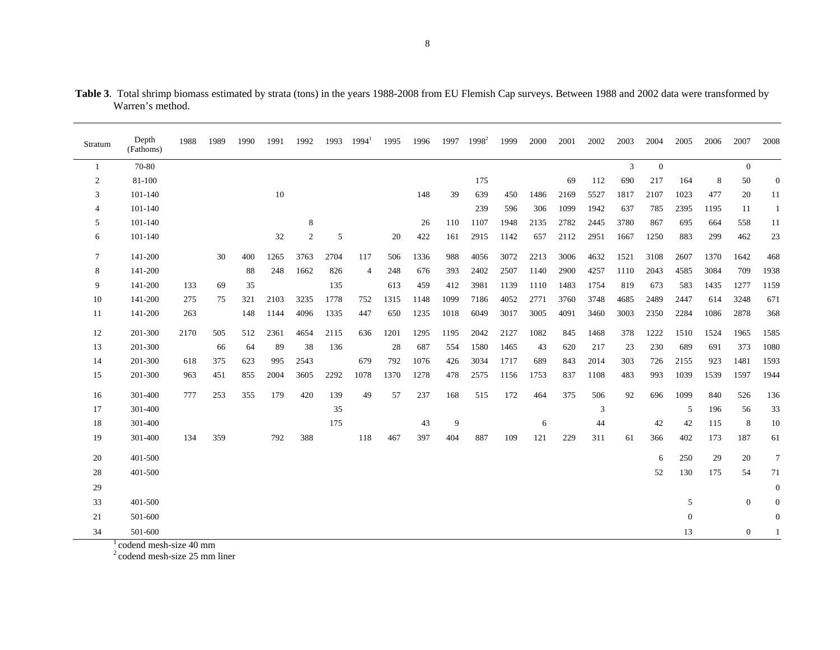| Stratum          | Depth<br>(Fathoms) | 1988 | 1989 | 1990 | 1991 | 1992           | 1993 | $1994^1$       | 1995 | 1996 | 1997 | $1998^2$ | 1999 | 2000 | 2001 | 2002 | 2003 | 2004             | 2005           | 2006 | 2007           | 2008         |
|------------------|--------------------|------|------|------|------|----------------|------|----------------|------|------|------|----------|------|------|------|------|------|------------------|----------------|------|----------------|--------------|
| -1               | 70-80              |      |      |      |      |                |      |                |      |      |      |          |      |      |      |      | 3    | $\boldsymbol{0}$ |                |      | $\overline{0}$ |              |
| $\boldsymbol{2}$ | 81-100             |      |      |      |      |                |      |                |      |      |      | 175      |      |      | 69   | 112  | 690  | 217              | 164            | 8    | 50             | $\theta$     |
| 3                | 101-140            |      |      |      | 10   |                |      |                |      | 148  | 39   | 639      | 450  | 1486 | 2169 | 5527 | 1817 | 2107             | 1023           | 477  | 20             | 11           |
| 4                | 101-140            |      |      |      |      |                |      |                |      |      |      | 239      | 596  | 306  | 1099 | 1942 | 637  | 785              | 2395           | 1195 | 11             | 1            |
| 5                | 101-140            |      |      |      |      | 8              |      |                |      | 26   | 110  | 1107     | 1948 | 2135 | 2782 | 2445 | 3780 | 867              | 695            | 664  | 558            | 11           |
| 6                | 101-140            |      |      |      | 32   | $\mathfrak{2}$ | 5    |                | 20   | 422  | 161  | 2915     | 1142 | 657  | 2112 | 2951 | 1667 | 1250             | 883            | 299  | 462            | 23           |
| 7                | 141-200            |      | 30   | 400  | 1265 | 3763           | 2704 | 117            | 506  | 1336 | 988  | 4056     | 3072 | 2213 | 3006 | 4632 | 1521 | 3108             | 2607           | 1370 | 1642           | 468          |
| 8                | 141-200            |      |      | 88   | 248  | 1662           | 826  | $\overline{4}$ | 248  | 676  | 393  | 2402     | 2507 | 1140 | 2900 | 4257 | 1110 | 2043             | 4585           | 3084 | 709            | 1938         |
| 9                | 141-200            | 133  | 69   | 35   |      |                | 135  |                | 613  | 459  | 412  | 3981     | 1139 | 1110 | 1483 | 1754 | 819  | 673              | 583            | 1435 | 1277           | 1159         |
| 10               | 141-200            | 275  | 75   | 321  | 2103 | 3235           | 1778 | 752            | 1315 | 1148 | 1099 | 7186     | 4052 | 2771 | 3760 | 3748 | 4685 | 2489             | 2447           | 614  | 3248           | 671          |
| 11               | 141-200            | 263  |      | 148  | 1144 | 4096           | 1335 | 447            | 650  | 1235 | 1018 | 6049     | 3017 | 3005 | 4091 | 3460 | 3003 | 2350             | 2284           | 1086 | 2878           | 368          |
| 12               | 201-300            | 2170 | 505  | 512  | 2361 | 4654           | 2115 | 636            | 1201 | 1295 | 1195 | 2042     | 2127 | 1082 | 845  | 1468 | 378  | 1222             | 1510           | 1524 | 1965           | 1585         |
| 13               | 201-300            |      | 66   | 64   | 89   | 38             | 136  |                | 28   | 687  | 554  | 1580     | 1465 | 43   | 620  | 217  | 23   | 230              | 689            | 691  | 373            | 1080         |
| 14               | 201-300            | 618  | 375  | 623  | 995  | 2543           |      | 679            | 792  | 1076 | 426  | 3034     | 1717 | 689  | 843  | 2014 | 303  | 726              | 2155           | 923  | 1481           | 1593         |
| 15               | 201-300            | 963  | 451  | 855  | 2004 | 3605           | 2292 | 1078           | 1370 | 1278 | 478  | 2575     | 1156 | 1753 | 837  | 1108 | 483  | 993              | 1039           | 1539 | 1597           | 1944         |
| 16               | 301-400            | 777  | 253  | 355  | 179  | 420            | 139  | 49             | 57   | 237  | 168  | 515      | 172  | 464  | 375  | 506  | 92   | 696              | 1099           | 840  | 526            | 136          |
| 17               | 301-400            |      |      |      |      |                | 35   |                |      |      |      |          |      |      |      | 3    |      |                  | 5              | 196  | 56             | 33           |
| 18               | 301-400            |      |      |      |      |                | 175  |                |      | 43   | 9    |          |      | 6    |      | 44   |      | 42               | 42             | 115  | 8              | 10           |
| 19               | 301-400            | 134  | 359  |      | 792  | 388            |      | 118            | 467  | 397  | 404  | 887      | 109  | 121  | 229  | 311  | 61   | 366              | 402            | 173  | 187            | 61           |
| 20               | 401-500            |      |      |      |      |                |      |                |      |      |      |          |      |      |      |      |      | 6                | 250            | 29   | 20             | $\tau$       |
| 28               | 401-500            |      |      |      |      |                |      |                |      |      |      |          |      |      |      |      |      | 52               | 130            | 175  | 54             | 71           |
| 29               |                    |      |      |      |      |                |      |                |      |      |      |          |      |      |      |      |      |                  |                |      |                | $\mathbf{0}$ |
| 33               | 401-500            |      |      |      |      |                |      |                |      |      |      |          |      |      |      |      |      |                  | 5              |      | $\mathbf{0}$   | $\mathbf{0}$ |
| 21               | 501-600            |      |      |      |      |                |      |                |      |      |      |          |      |      |      |      |      |                  | $\overline{0}$ |      |                | $\mathbf{0}$ |
| 34               | 501-600            |      |      |      |      |                |      |                |      |      |      |          |      |      |      |      |      |                  | 13             |      | $\overline{0}$ |              |

**Table 3**. Total shrimp biomass estimated by strata (tons) in the years 1988-2008 from EU Flemish Cap surveys. Between 1988 and 2002 data were transformed by Warren's method.

 $\frac{1}{2}$ codend mesh-size 40 mm<br> $\frac{2}{2}$ codend mesh-size 25 mm liner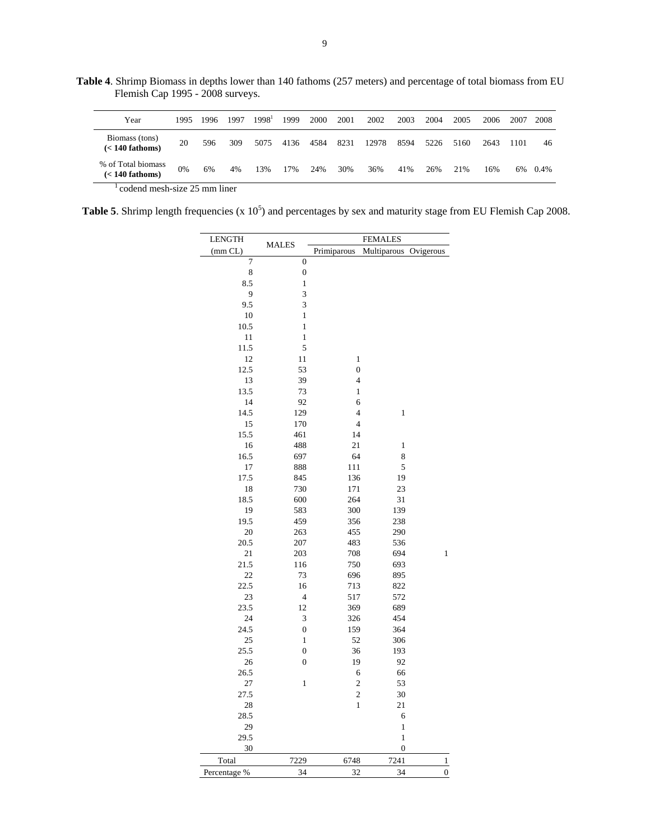**Table 4**. Shrimp Biomass in depths lower than 140 fathoms (257 meters) and percentage of total biomass from EU Flemish Cap 1995 - 2008 surveys.

| Year                                    | 1995                               | 1996 | 1997 | 1998 <sup>1</sup> | 1999 | 2000 | 2001 | 2002  | 2003 | 2004 | 2005 | 2006 | 2007 | 2008 |
|-----------------------------------------|------------------------------------|------|------|-------------------|------|------|------|-------|------|------|------|------|------|------|
| Biomass (tons)<br>$(< 140$ fathoms)     | 20                                 | 596  | 309  | 5075              | 4136 | 4584 | 8231 | 12978 | 8594 | 5226 | 5160 | 2643 | 1101 | 46   |
| % of Total biomass<br>$(< 140$ fathoms) | 0%                                 | 6%   | 4%   | 13%               | 17%  | 24%  | 30%  | 36%   | 41%  | 26%  | 21%  | 16%  | 6%   | 0.4% |
|                                         | and and mouth about OF more thanks |      |      |                   |      |      |      |       |      |      |      |      |      |      |

 $1$  codend mesh-size 25 mm liner

**Table 5.** Shrimp length frequencies  $(x 10^5)$  and percentages by sex and maturity stage from EU Flemish Cap 2008.

| <b>LENGTH</b> |                  | <b>FEMALES</b>   |                  |                |  |  |  |  |  |  |  |
|---------------|------------------|------------------|------------------|----------------|--|--|--|--|--|--|--|
| (mm CL)       | <b>MALES</b>     | Primiparous      | Multiparous      | Ovigerous      |  |  |  |  |  |  |  |
| 7             | $\boldsymbol{0}$ |                  |                  |                |  |  |  |  |  |  |  |
| 8             | $\boldsymbol{0}$ |                  |                  |                |  |  |  |  |  |  |  |
| 8.5           | $\,1$            |                  |                  |                |  |  |  |  |  |  |  |
| 9             | 3                |                  |                  |                |  |  |  |  |  |  |  |
| 9.5           | 3                |                  |                  |                |  |  |  |  |  |  |  |
| 10            | $\mathbf{1}$     |                  |                  |                |  |  |  |  |  |  |  |
| 10.5          | $\mathbf{1}$     |                  |                  |                |  |  |  |  |  |  |  |
| 11            | $\,$ 1 $\,$      |                  |                  |                |  |  |  |  |  |  |  |
| 11.5          | 5                |                  |                  |                |  |  |  |  |  |  |  |
| 12            | 11               | $\mathbf{1}$     |                  |                |  |  |  |  |  |  |  |
| 12.5          | 53               | $\boldsymbol{0}$ |                  |                |  |  |  |  |  |  |  |
| 13            | 39               | $\overline{4}$   |                  |                |  |  |  |  |  |  |  |
| 13.5          | 73               | $\,1$            |                  |                |  |  |  |  |  |  |  |
| 14            | 92               | 6                |                  |                |  |  |  |  |  |  |  |
| 14.5          | 129              | $\overline{4}$   | $\mathbf{1}$     |                |  |  |  |  |  |  |  |
| 15            | 170              | $\overline{4}$   |                  |                |  |  |  |  |  |  |  |
| 15.5          | 461              | 14               |                  |                |  |  |  |  |  |  |  |
| 16            | 488              | 21               | $\mathbf{1}$     |                |  |  |  |  |  |  |  |
| 16.5          | 697              | 64               | 8                |                |  |  |  |  |  |  |  |
| 17            | 888              | 111              | 5                |                |  |  |  |  |  |  |  |
| 17.5          | 845              | 136              | 19               |                |  |  |  |  |  |  |  |
| 18            | 730              | 171              | 23               |                |  |  |  |  |  |  |  |
| 18.5          | 600              | 264              | 31               |                |  |  |  |  |  |  |  |
| 19            | 583              | 300              | 139              |                |  |  |  |  |  |  |  |
| 19.5          | 459              | 356              | 238              |                |  |  |  |  |  |  |  |
| 20            | 263              | 455              | 290              |                |  |  |  |  |  |  |  |
| 20.5          | 207              | 483              | 536              |                |  |  |  |  |  |  |  |
| 21            | 203              | 708              | 694              | $\mathbf{1}$   |  |  |  |  |  |  |  |
| 21.5          | 116              | 750              | 693              |                |  |  |  |  |  |  |  |
| 22            | 73               | 696              | 895              |                |  |  |  |  |  |  |  |
| 22.5          | 16               | 713              | 822              |                |  |  |  |  |  |  |  |
| 23            | $\overline{4}$   | 517              | 572              |                |  |  |  |  |  |  |  |
| 23.5          | 12               | 369              | 689              |                |  |  |  |  |  |  |  |
| 24            | 3                | 326              | 454              |                |  |  |  |  |  |  |  |
| 24.5          | $\boldsymbol{0}$ | 159              | 364              |                |  |  |  |  |  |  |  |
| 25            | $\mathbf{1}$     | 52               | 306              |                |  |  |  |  |  |  |  |
| 25.5          | $\mathbf{0}$     | 36               | 193              |                |  |  |  |  |  |  |  |
| 26            | $\boldsymbol{0}$ | 19               | 92               |                |  |  |  |  |  |  |  |
| 26.5          |                  | 6                | 66               |                |  |  |  |  |  |  |  |
| 27            | $\mathbf{1}$     | $\boldsymbol{2}$ | 53               |                |  |  |  |  |  |  |  |
| 27.5          |                  | $\overline{c}$   | 30               |                |  |  |  |  |  |  |  |
| 28            |                  | $\mathbf{1}$     | 21               |                |  |  |  |  |  |  |  |
| 28.5          |                  |                  | 6                |                |  |  |  |  |  |  |  |
| 29            |                  |                  | $\,1$            |                |  |  |  |  |  |  |  |
| 29.5          |                  |                  | $\,1$            |                |  |  |  |  |  |  |  |
| 30            |                  |                  | $\boldsymbol{0}$ |                |  |  |  |  |  |  |  |
| Total         | 7229             | 6748             | 7241             | $\mathbf{1}$   |  |  |  |  |  |  |  |
| Percentage %  | 34               | 32               | 34               | $\overline{0}$ |  |  |  |  |  |  |  |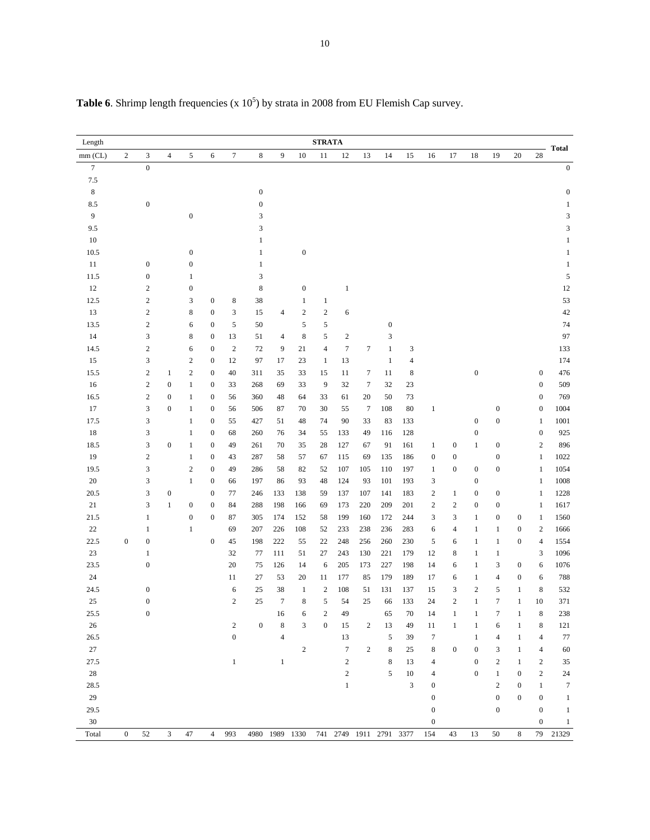| Length      |                  |                  |                  |                  |                  |                  |                  |                |                  | <b>STRATA</b>    |                         |                  |                  |                |                  |                  |                  |                  |                  |                  |                           |
|-------------|------------------|------------------|------------------|------------------|------------------|------------------|------------------|----------------|------------------|------------------|-------------------------|------------------|------------------|----------------|------------------|------------------|------------------|------------------|------------------|------------------|---------------------------|
| $mm$ (CL)   | $\boldsymbol{2}$ | 3                | $\overline{4}$   | 5                | 6                | $\tau$           | 8                | 9              | 10               | 11               | $12\,$                  | 13               | 14               | 15             | 16               | 17               | 18               | 19               | 20               | 28               | <b>Total</b>              |
| $\tau$      |                  | $\boldsymbol{0}$ |                  |                  |                  |                  |                  |                |                  |                  |                         |                  |                  |                |                  |                  |                  |                  |                  |                  | $\boldsymbol{0}$          |
| $7.5\,$     |                  |                  |                  |                  |                  |                  |                  |                |                  |                  |                         |                  |                  |                |                  |                  |                  |                  |                  |                  |                           |
| $\,$ 8 $\,$ |                  |                  |                  |                  |                  |                  | $\boldsymbol{0}$ |                |                  |                  |                         |                  |                  |                |                  |                  |                  |                  |                  |                  | $\boldsymbol{0}$          |
| $8.5\,$     |                  | $\boldsymbol{0}$ |                  |                  |                  |                  | $\boldsymbol{0}$ |                |                  |                  |                         |                  |                  |                |                  |                  |                  |                  |                  |                  | $\mathbf{1}$              |
| 9           |                  |                  |                  | $\boldsymbol{0}$ |                  |                  | 3                |                |                  |                  |                         |                  |                  |                |                  |                  |                  |                  |                  |                  | $\ensuremath{\mathsf{3}}$ |
| 9.5         |                  |                  |                  |                  |                  |                  | 3                |                |                  |                  |                         |                  |                  |                |                  |                  |                  |                  |                  |                  | $\ensuremath{\mathsf{3}}$ |
| 10          |                  |                  |                  |                  |                  |                  | $\mathbf{1}$     |                |                  |                  |                         |                  |                  |                |                  |                  |                  |                  |                  |                  | $\mathbf{1}$              |
| 10.5        |                  |                  |                  | $\boldsymbol{0}$ |                  |                  | $\mathbf{1}$     |                | $\boldsymbol{0}$ |                  |                         |                  |                  |                |                  |                  |                  |                  |                  |                  | $\mathbf{1}$              |
| 11          |                  | $\boldsymbol{0}$ |                  | $\boldsymbol{0}$ |                  |                  | $\mathbf{1}$     |                |                  |                  |                         |                  |                  |                |                  |                  |                  |                  |                  |                  | $\mathbf{1}$              |
| 11.5        |                  | $\boldsymbol{0}$ |                  | $\mathbf{1}$     |                  |                  | 3                |                |                  |                  |                         |                  |                  |                |                  |                  |                  |                  |                  |                  | $\sqrt{5}$                |
| 12          |                  | $\sqrt{2}$       |                  | $\boldsymbol{0}$ |                  |                  | $\,$ 8 $\,$      |                | $\boldsymbol{0}$ |                  | $\,1\,$                 |                  |                  |                |                  |                  |                  |                  |                  |                  | 12                        |
| 12.5        |                  | $\,2$            |                  | 3                | $\boldsymbol{0}$ | $\,$ 8 $\,$      | 38               |                | $\mathbf{1}$     | $\mathbf{1}$     |                         |                  |                  |                |                  |                  |                  |                  |                  |                  | 53                        |
| 13          |                  | $\sqrt{2}$       |                  | 8                | $\boldsymbol{0}$ | 3                | 15               | $\overline{4}$ | $\sqrt{2}$       | $\sqrt{2}$       | 6                       |                  |                  |                |                  |                  |                  |                  |                  |                  | 42                        |
| 13.5        |                  | $\sqrt{2}$       |                  | 6                | $\boldsymbol{0}$ | $\sqrt{5}$       | 50               |                | 5                | 5                |                         |                  | $\boldsymbol{0}$ |                |                  |                  |                  |                  |                  |                  | 74                        |
| 14          |                  | 3                |                  | 8                | $\boldsymbol{0}$ | 13               | 51               | 4              | $\,$ 8 $\,$      | 5                | $\sqrt{2}$              |                  | 3                |                |                  |                  |                  |                  |                  |                  | 97                        |
| 14.5        |                  | $\boldsymbol{2}$ |                  | 6                | $\boldsymbol{0}$ | $\sqrt{2}$       | 72               | 9              | 21               | $\overline{4}$   | $\boldsymbol{7}$        | $\tau$           | $\mathbf{1}$     | 3              |                  |                  |                  |                  |                  |                  | 133                       |
| 15          |                  | 3                |                  | $\sqrt{2}$       | $\boldsymbol{0}$ | 12               | 97               | 17             | 23               | $\mathbf{1}$     | 13                      |                  | $\mathbf{1}$     | $\overline{4}$ |                  |                  |                  |                  |                  |                  | 174                       |
| 15.5        |                  | $\boldsymbol{2}$ | $\mathbf{1}$     | $\boldsymbol{2}$ | $\boldsymbol{0}$ | 40               | 311              | 35             | 33               | 15               | 11                      | 7                | 11               | 8              |                  |                  | $\boldsymbol{0}$ |                  |                  | $\boldsymbol{0}$ | 476                       |
| $16\,$      |                  | $\sqrt{2}$       | $\boldsymbol{0}$ | $\mathbf{1}$     | $\boldsymbol{0}$ | 33               | 268              | 69             | 33               | 9                | 32                      | $\boldsymbol{7}$ | 32               | 23             |                  |                  |                  |                  |                  | $\boldsymbol{0}$ | 509                       |
| 16.5        |                  | $\,2$            | $\boldsymbol{0}$ | $\mathbf{1}$     | $\boldsymbol{0}$ | 56               | 360              | 48             | 64               | 33               | 61                      | $20\,$           | 50               | 73             |                  |                  |                  |                  |                  | $\boldsymbol{0}$ | 769                       |
| 17          |                  | 3                | $\boldsymbol{0}$ | $\mathbf{1}$     | $\boldsymbol{0}$ | 56               | 506              | 87             | 70               | 30               | 55                      | $\boldsymbol{7}$ | 108              | 80             | $\mathbf{1}$     |                  |                  | $\boldsymbol{0}$ |                  | $\boldsymbol{0}$ | 1004                      |
| 17.5        |                  | 3                |                  | $\mathbf{1}$     | $\boldsymbol{0}$ | 55               | 427              | 51             | 48               | 74               | 90                      | 33               | 83               | 133            |                  |                  | $\boldsymbol{0}$ | $\boldsymbol{0}$ |                  | $\mathbf{1}$     | 1001                      |
| $18\,$      |                  | 3                |                  | $\mathbf{1}$     | $\boldsymbol{0}$ | 68               | 260              | 76             | 34               | 55               | 133                     | 49               | 116              | 128            |                  |                  | $\boldsymbol{0}$ |                  |                  | $\boldsymbol{0}$ | 925                       |
| 18.5        |                  | 3                | $\boldsymbol{0}$ | $\mathbf{1}$     | $\boldsymbol{0}$ | 49               | 261              | 70             | 35               | 28               | 127                     | 67               | 91               | 161            | $\mathbf{1}$     | $\boldsymbol{0}$ | $\mathbf{1}$     | $\boldsymbol{0}$ |                  | $\sqrt{2}$       | 896                       |
| 19          |                  | $\sqrt{2}$       |                  | $\mathbf{1}$     | $\boldsymbol{0}$ | 43               | 287              | 58             | 57               | 67               | 115                     | 69               | 135              | 186            | $\boldsymbol{0}$ | $\boldsymbol{0}$ |                  | $\boldsymbol{0}$ |                  | $\mathbf{1}$     | 1022                      |
| 19.5        |                  | 3                |                  | $\sqrt{2}$       | $\boldsymbol{0}$ | 49               | 286              | 58             | 82               | 52               | 107                     | 105              | 110              | 197            | $\mathbf{1}$     | $\boldsymbol{0}$ | $\boldsymbol{0}$ | $\boldsymbol{0}$ |                  | $\mathbf{1}$     | 1054                      |
| 20          |                  | 3                |                  | $\mathbf{1}$     | $\boldsymbol{0}$ | 66               | 197              | 86             | 93               | 48               | 124                     | 93               | 101              | 193            | 3                |                  | $\boldsymbol{0}$ |                  |                  | 1                | 1008                      |
| 20.5        |                  | 3                | $\boldsymbol{0}$ |                  | $\boldsymbol{0}$ | 77               | 246              | 133            | 138              | 59               | 137                     | 107              | 141              | 183            | 2                | $\mathbf{1}$     | $\boldsymbol{0}$ | $\boldsymbol{0}$ |                  | $\mathbf{1}$     | 1228                      |
| $21\,$      |                  | 3                | $\mathbf{1}$     | $\boldsymbol{0}$ | $\boldsymbol{0}$ | 84               | 288              | 198            | 166              | 69               | 173                     | 220              | 209              | 201            | $\mathbf{2}$     | $\sqrt{2}$       | $\boldsymbol{0}$ | $\boldsymbol{0}$ |                  | $\mathbf{1}$     | 1617                      |
| 21.5        |                  | $1\,$            |                  | $\boldsymbol{0}$ | $\boldsymbol{0}$ | 87               | 305              | 174            | 152              | 58               | 199                     | 160              | 172              | 244            | 3                | 3                | $\mathbf{1}$     | $\boldsymbol{0}$ | $\boldsymbol{0}$ | $\mathbf{1}$     | 1560                      |
| $22\,$      |                  | $\,1$            |                  | $\mathbf{1}$     |                  | 69               | 207              | 226            | 108              | 52               | 233                     | 238              | 236              | 283            | 6                | $\overline{4}$   | $\mathbf{1}$     | $\mathbf{1}$     | $\boldsymbol{0}$ | $\sqrt{2}$       | 1666                      |
| 22.5        | $\boldsymbol{0}$ | $\boldsymbol{0}$ |                  |                  | $\boldsymbol{0}$ | 45               | 198              | 222            | 55               | 22               | 248                     | 256              | 260              | 230            | 5                | 6                | $\mathbf{1}$     | $\mathbf{1}$     | $\boldsymbol{0}$ | $\overline{4}$   | 1554                      |
| $23\,$      |                  | $\mathbf{1}$     |                  |                  |                  | 32               | 77               | 111            | 51               | 27               | 243                     | 130              | 221              | 179            | 12               | 8                | $\mathbf{1}$     | $\mathbf{1}$     |                  | 3                | 1096                      |
| 23.5        |                  | $\boldsymbol{0}$ |                  |                  |                  | 20               | 75               | 126            | 14               | 6                | 205                     | 173              | 227              | 198            | 14               | 6                | $\mathbf{1}$     | 3                | $\boldsymbol{0}$ | 6                | 1076                      |
| $24\,$      |                  |                  |                  |                  |                  | 11               | 27               | 53             | 20               | 11               | 177                     | 85               | 179              | 189            | 17               | 6                | $\mathbf{1}$     | $\overline{4}$   | $\boldsymbol{0}$ | 6                | 788                       |
| 24.5        |                  | $\boldsymbol{0}$ |                  |                  |                  | 6                | 25               | 38             | $\mathbf{1}$     | $\sqrt{2}$       | 108                     | 51               | 131              | 137            | 15               | 3                | $\sqrt{2}$       | 5                | $\,1$            | 8                | 532                       |
| $25\,$      |                  | $\boldsymbol{0}$ |                  |                  |                  | $\mathbf{2}$     | 25               | $\tau$         | 8                | 5                | 54                      | 25               | 66               | 133            | 24               | $\overline{c}$   | $\mathbf{1}$     | $\boldsymbol{7}$ | $\mathbf{1}$     | $10\,$           | 371                       |
| 25.5        |                  | $\boldsymbol{0}$ |                  |                  |                  |                  |                  | 16             | 6                | $\boldsymbol{2}$ | 49                      |                  | 65               | 70             | 14               | 1                | 1                | 7                | $\mathbf{1}$     | 8                | 238                       |
| $26\,$      |                  |                  |                  |                  |                  | $\mathbf{2}$     | $\boldsymbol{0}$ | $\,$ 8 $\,$    | 3                | $\boldsymbol{0}$ | 15                      | $\boldsymbol{2}$ | 13               | 49             | 11               | 1                | 1                | 6                | $\mathbf{1}$     | 8                | 121                       |
| 26.5        |                  |                  |                  |                  |                  | $\boldsymbol{0}$ |                  | $\overline{4}$ |                  |                  | 13                      |                  | $\sqrt{5}$       | 39             | $\boldsymbol{7}$ |                  | $\,1$            | $\overline{4}$   | $\mathbf{1}$     | $\overline{4}$   | $77\,$                    |
| $27\,$      |                  |                  |                  |                  |                  |                  |                  |                | $\sqrt{2}$       |                  | $\boldsymbol{7}$        | $\sqrt{2}$       | $\,8\,$          | 25             | 8                | $\boldsymbol{0}$ | $\boldsymbol{0}$ | 3                | $\mathbf{1}$     | $\overline{4}$   | $60\,$                    |
| 27.5        |                  |                  |                  |                  |                  | $\mathbf{1}$     |                  | $\mathbf{1}$   |                  |                  | $\sqrt{2}$              |                  | $\,8\,$          | 13             | 4                |                  | $\boldsymbol{0}$ | $\overline{c}$   | $\mathbf{1}$     | $\sqrt{2}$       | $35\,$                    |
| 28          |                  |                  |                  |                  |                  |                  |                  |                |                  |                  | $\sqrt{2}$              |                  | 5                | $10\,$         | 4                |                  | $\boldsymbol{0}$ | $\mathbf{1}$     | $\boldsymbol{0}$ | $\sqrt{2}$       | 24                        |
| 28.5        |                  |                  |                  |                  |                  |                  |                  |                |                  |                  | $\mathbf{1}$            |                  |                  | 3              | $\mathbf{0}$     |                  |                  | $\overline{c}$   | $\boldsymbol{0}$ | $\mathbf{1}$     | $\boldsymbol{7}$          |
| $29\,$      |                  |                  |                  |                  |                  |                  |                  |                |                  |                  |                         |                  |                  |                | $\mathbf{0}$     |                  |                  | $\overline{0}$   | $\boldsymbol{0}$ | $\boldsymbol{0}$ | $\mathbf{1}$              |
| 29.5        |                  |                  |                  |                  |                  |                  |                  |                |                  |                  |                         |                  |                  |                | $\mathbf{0}$     |                  |                  | $\boldsymbol{0}$ |                  | $\boldsymbol{0}$ | $\mathbf{1}$              |
| $30\,$      |                  |                  |                  |                  |                  |                  |                  |                |                  |                  |                         |                  |                  |                | $\boldsymbol{0}$ |                  |                  |                  |                  | $\boldsymbol{0}$ | $\mathbf{1}$              |
| Total       | $\boldsymbol{0}$ | 52               | 3                | 47               | $\overline{4}$   | 993              |                  |                | 4980 1989 1330   |                  | 741 2749 1911 2791 3377 |                  |                  |                | 154              | 43               | 13               | 50               | $\,8\,$          | 79               | 21329                     |

**Table 6.** Shrimp length frequencies  $(x 10^5)$  by strata in 2008 from EU Flemish Cap survey.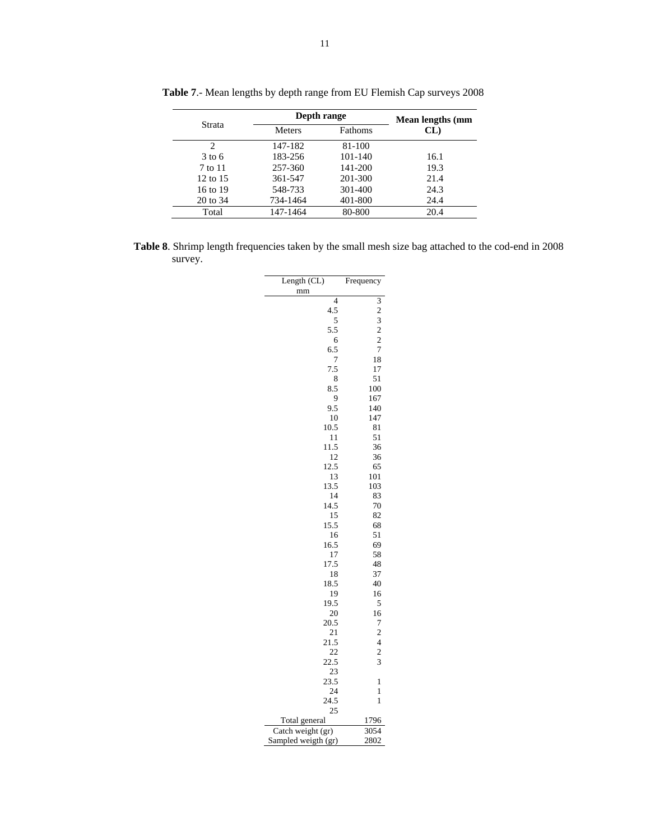|                   | Depth range   | Mean lengths (mm |      |
|-------------------|---------------|------------------|------|
| Strata            | <b>Meters</b> | Fathoms          | CL   |
| 2                 | 147-182       | 81-100           |      |
| $3 \text{ to } 6$ | 183-256       | 101-140          | 16.1 |
| 7 to 11           | 257-360       | 141-200          | 19.3 |
| $12$ to $15$      | 361-547       | 201-300          | 21.4 |
| 16 to 19          | 548-733       | 301-400          | 24.3 |
| 20 to 34          | 734-1464      | 401-800          | 24.4 |
| Total             | 147-1464      | 80-800           | 20.4 |

**Table 7**.- Mean lengths by depth range from EU Flemish Cap surveys 2008

**Table 8**. Shrimp length frequencies taken by the small mesh size bag attached to the cod-end in 2008 survey.

| Length (CL)         | Frequency                                       |
|---------------------|-------------------------------------------------|
| mm                  |                                                 |
| $\overline{4}$      | $\frac{1}{3}$<br>$\frac{2}{2}$<br>$\frac{3}{2}$ |
| 4.5                 |                                                 |
| 5                   |                                                 |
| 5.5                 |                                                 |
| 6                   |                                                 |
| 6.5                 | 7                                               |
| 7                   | 18                                              |
| 7.5                 | 17                                              |
| 8<br>8.5            | 51<br>100                                       |
| 9                   | 167                                             |
| 9.5                 | 140                                             |
| 10                  | 147                                             |
| 10.5                | 81                                              |
| 11                  | 51                                              |
| 11.5                | 36                                              |
| 12                  | 36                                              |
| 12.5                | 65                                              |
| 13                  | 101                                             |
| 13.5                | 103                                             |
| 14                  | 83                                              |
| 14.5                | 70                                              |
| 15                  | 82                                              |
| 15.5                | 68                                              |
| 16                  | 51                                              |
| 16.5                | 69                                              |
| 17                  | 58                                              |
| 17.5                | 48                                              |
| 18                  | 37                                              |
| 18.5                | 40                                              |
| 19                  | 16                                              |
| 19.5<br>20          | 5                                               |
| 20.5                | 16<br>7                                         |
| 21                  | $\overline{c}$                                  |
| 21.5                | $\overline{4}$                                  |
| 22                  | $\overline{c}$                                  |
| 22.5                | 3                                               |
| 23                  |                                                 |
| 23.5                | $\mathbf{1}$                                    |
| 24                  | 1                                               |
| 24.5                | 1                                               |
| 25                  |                                                 |
| Total general       | 1796                                            |
| Catch weight (gr)   | 3054                                            |
| Sampled weigth (gr) | 2802                                            |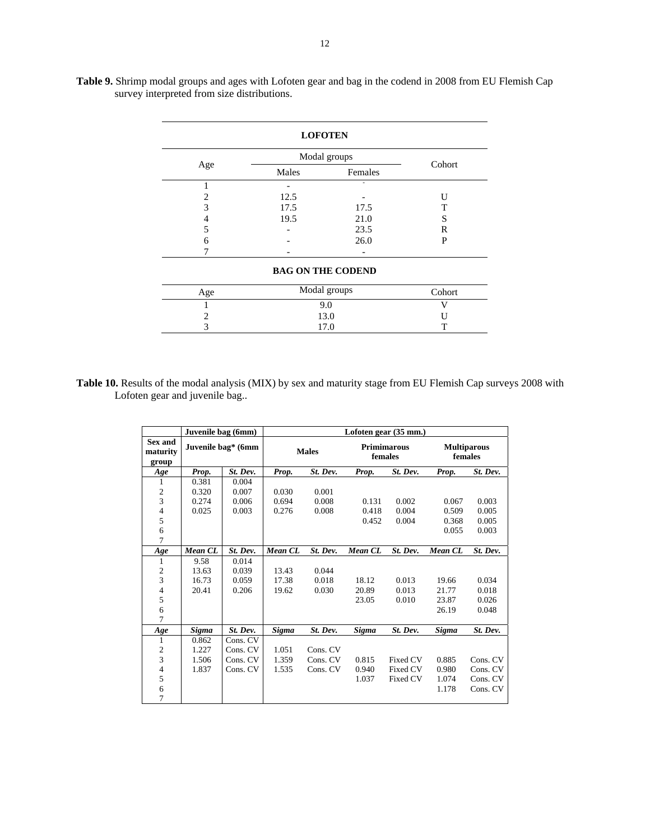|     | <b>LOFOTEN</b>           |              |        |  |  |  |  |  |  |  |  |  |  |
|-----|--------------------------|--------------|--------|--|--|--|--|--|--|--|--|--|--|
|     |                          | Modal groups | Cohort |  |  |  |  |  |  |  |  |  |  |
| Age | Males                    | Females      |        |  |  |  |  |  |  |  |  |  |  |
|     |                          |              |        |  |  |  |  |  |  |  |  |  |  |
| 2   | 12.5                     |              | U      |  |  |  |  |  |  |  |  |  |  |
| 3   | 17.5                     | 17.5         | т      |  |  |  |  |  |  |  |  |  |  |
| 4   | 19.5                     | 21.0         | S      |  |  |  |  |  |  |  |  |  |  |
| 5   |                          | 23.5         | R      |  |  |  |  |  |  |  |  |  |  |
| 6   |                          | 26.0         | P      |  |  |  |  |  |  |  |  |  |  |
|     |                          |              |        |  |  |  |  |  |  |  |  |  |  |
|     | <b>BAG ON THE CODEND</b> |              |        |  |  |  |  |  |  |  |  |  |  |
| Age |                          | Modal groups | Cohort |  |  |  |  |  |  |  |  |  |  |
|     |                          | 9.0          | v      |  |  |  |  |  |  |  |  |  |  |

**Table 9.** Shrimp modal groups and ages with Lofoten gear and bag in the codend in 2008 from EU Flemish Cap survey interpreted from size distributions.

Table 10. Results of the modal analysis (MIX) by sex and maturity stage from EU Flemish Cap surveys 2008 with Lofoten gear and juvenile bag..

2 13.0 U 3 17.0 T

|                                     | Juvenile bag (6mm) |                    |         |              |         | Lofoten gear (35 mm.)         |                               |          |
|-------------------------------------|--------------------|--------------------|---------|--------------|---------|-------------------------------|-------------------------------|----------|
| <b>Sex and</b><br>maturity<br>group |                    | Juvenile bag* (6mm |         | <b>Males</b> |         | <b>Primimarous</b><br>females | <b>Multiparous</b><br>females |          |
| Age                                 | Prop.              | St. Dev.           | Prop.   | St. Dev.     | Prop.   | St. Dev.                      | Prop.                         | St. Dev. |
| 1                                   | 0.381              | 0.004              |         |              |         |                               |                               |          |
|                                     | 0.320              | 0.007              | 0.030   | 0.001        |         |                               |                               |          |
| $\frac{2}{3}$                       | 0.274              | 0.006              | 0.694   | 0.008        | 0.131   | 0.002                         | 0.067                         | 0.003    |
| 4                                   | 0.025              | 0.003              | 0.276   | 0.008        | 0.418   | 0.004                         | 0.509                         | 0.005    |
| 5                                   |                    |                    |         |              | 0.452   | 0.004                         | 0.368                         | 0.005    |
| $\sqrt{6}$                          |                    |                    |         |              |         |                               | 0.055                         | 0.003    |
| 7                                   |                    |                    |         |              |         |                               |                               |          |
| Age                                 | Mean CL            | St. Dev.           | Mean CL | St. Dev.     | Mean CL | St. Dev.                      | Mean CL                       | St. Dev. |
| 1                                   | 9.58<br>0.014      |                    |         |              |         |                               |                               |          |
| 2                                   | 0.039<br>13.63     |                    | 13.43   | 0.044        |         |                               |                               |          |
| 3                                   | 16.73              | 0.059              | 17.38   | 0.018        | 18.12   | 0.013                         | 19.66                         | 0.034    |
| $\frac{4}{5}$                       | 20.41              | 0.206              | 19.62   | 0.030        | 20.89   | 0.013                         | 21.77                         | 0.018    |
|                                     |                    |                    |         |              | 23.05   | 0.010                         | 23.87                         | 0.026    |
| $\epsilon$                          |                    |                    |         |              |         |                               | 26.19                         | 0.048    |
| 7                                   |                    |                    |         |              |         |                               |                               |          |
| Age                                 | Sigma              | St. Dev.           | Sigma   | St. Dev.     | Sigma   | St. Dev.                      | Sigma                         | St. Dev. |
| 1                                   | 0.862              | Cons. CV           |         |              |         |                               |                               |          |
| $\frac{2}{3}$                       | 1.227              | Cons. CV           | 1.051   | Cons. CV     |         |                               |                               |          |
|                                     | 1.506              | Cons. CV           | 1.359   | Cons. CV     | 0.815   | Fixed CV                      | 0.885                         | Cons. CV |
| $\sqrt{4}$                          | 1.837              | Cons. CV           | 1.535   | Cons. CV     | 0.940   | Fixed CV                      | 0.980                         | Cons. CV |
| 5                                   |                    |                    |         |              | 1.037   | Fixed CV                      | 1.074                         | Cons. CV |
| $\sqrt{6}$                          |                    |                    |         |              |         |                               | 1.178                         | Cons. CV |
| 7                                   |                    |                    |         |              |         |                               |                               |          |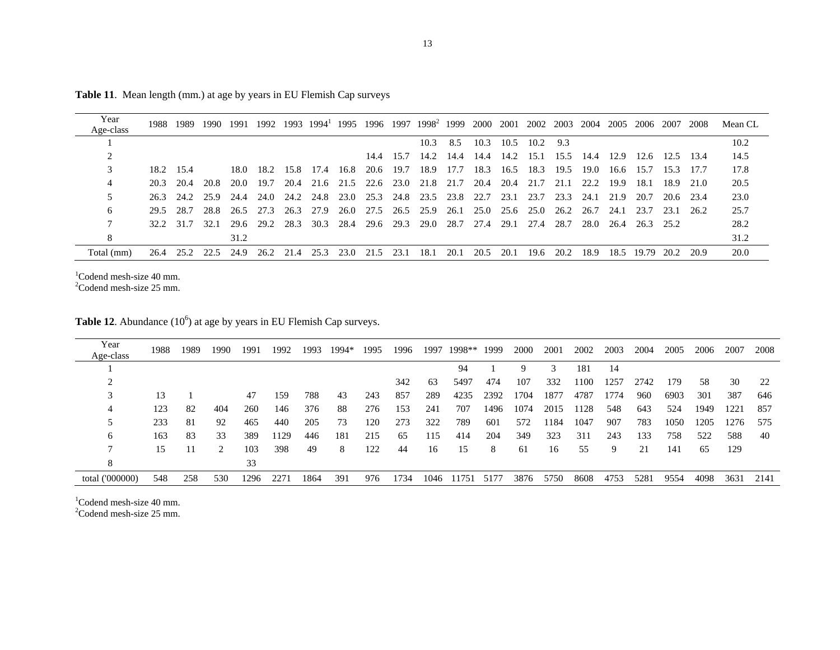| Year<br>Age-class |           | 1988 1989 | 1990 | 1991      | 1992 |      | 1993 1994 <sup>1</sup> | 1995 |                |      | 1996 1997 1998 <sup>2</sup> 1999 |      | 2000 | 2001      | 2002 | 2003 | 2004 | 2005 | 2006       | 2007      | 2008      | Mean CL |
|-------------------|-----------|-----------|------|-----------|------|------|------------------------|------|----------------|------|----------------------------------|------|------|-----------|------|------|------|------|------------|-----------|-----------|---------|
|                   |           |           |      |           |      |      |                        |      |                |      | 10.3                             | 8.5  | 10.3 | 10.5      | 10.2 | 9.3  |      |      |            |           |           | 10.2    |
|                   |           |           |      |           |      |      |                        |      |                |      |                                  |      |      |           |      |      |      |      |            |           |           |         |
|                   |           |           |      |           |      |      |                        |      |                |      | 14.4 15.7 14.2 14.4              |      | 14.4 | 14.2      | 15.1 | 15.5 | 14.4 | 12.9 | 12.6       | 12.5 13.4 |           | 14.5    |
|                   | 18.2 15.4 |           |      | 18.0      | 18.2 |      | 15.8 17.4 16.8         |      |                |      | 20.6 19.7 18.9                   | 17.7 | 18.3 | 16.5      | 18.3 | 19.5 | 19.0 | 16.6 | 15.7       | 15.3      | 17.7      | 17.8    |
| 4                 | 20.3      | 20.4      | 20.8 | 20.0      | 19.7 | 20.4 |                        |      |                |      | 21.6 21.5 22.6 23.0 21.8         | 21.7 | 20.4 | 20.4      | 21.7 | 21.1 | 22.2 | 19.9 | 18.1       |           | 18.9 21.0 | 20.5    |
|                   | 26.3      | 24.2      | 25.9 | 24.4      | 24.0 | 24.2 |                        |      |                |      | 24.8 23.0 25.3 24.8 23.5 23.8    |      | 22.7 | 23.1      | 23.7 | 23.3 | 24.1 | 21.9 | 20.7       |           | 20.6 23.4 | 23.0    |
| 6                 | 29.5      | 28.7      | 28.8 | 26.5 27.3 |      | 26.3 | 27.9                   | 26.0 | 27.5 26.5 25.9 |      |                                  | 26.1 | 25.0 | 25.6 25.0 |      | 26.2 | 26.7 | 24.1 | 23.7       | 23.1      | - 26.2    | 25.7    |
|                   |           | 32.2 31.7 | 32.1 | 29.6      | 29.2 | 28.3 |                        |      |                |      | 30.3 28.4 29.6 29.3 29.0 28.7    |      | 27.4 | 29.1      | 27.4 | 28.7 | 28.0 | 26.4 | 26.3 25.2  |           |           | 28.2    |
|                   |           |           |      | 31.2      |      |      |                        |      |                |      |                                  |      |      |           |      |      |      |      |            |           |           | 31.2    |
| Total (mm)        | 26.4      | 25.2      | 22.5 | 24.9      | 26.2 | 21.4 | 25.3                   | 23.0 | 21.5           | 23.1 | 18.1                             | 20.1 | 20.5 | 20.1      | 19.6 | 20.2 | 18.9 |      | 18.5 19.79 | 20.2      | 20.9      | 20.0    |

**Table 11**. Mean length (mm.) at age by years in EU Flemish Cap surveys

 $1$ Codend mesh-size 40 mm.<br>  $2$ Codend mesh-size 25 mm.

**Table 12.** Abundance  $(10^6)$  at age by years in EU Flemish Cap surveys.

| Year<br>Age-class | 1988 | 1989 | 1990 | 1991 | 1992 | 1993 | 1994* | 1995 | 1996 | 1997 | 1998** | 1999 | 2000 | 2001 | 2002 | 2003 | 2004 | 2005 | 2006 | 2007 | 2008 |
|-------------------|------|------|------|------|------|------|-------|------|------|------|--------|------|------|------|------|------|------|------|------|------|------|
|                   |      |      |      |      |      |      |       |      |      |      | 94     |      |      | 3    | 181  | 14   |      |      |      |      |      |
|                   |      |      |      |      |      |      |       |      | 342  | 63   | 5497   | 474  | 107  | 332  | 1100 | 1257 | 2742 | 179  | 58   | 30   | 22   |
|                   | 13   |      |      | 47   | 159  | 788  | 43    | 243  | 857  | 289  | 4235   | 2392 | 1704 | 1877 | 4787 | 1774 | 960  | 6903 | 301  | 387  | 646  |
| 4                 | 123  | 82   | 404  | 260  | 146  | 376  | 88    | 276  | 153  | 241  | 707    | 1496 | 1074 | 2015 | 1128 | 548  | 643  | 524  | 1949 | 1221 | 857  |
|                   | 233  | -81  | 92   | 465  | 440  | 205  | 73    | 120  | 273  | 322  | 789    | 601  | 572  | 1184 | 1047 | 907  | 783  | 1050 | 1205 | 1276 | 575  |
| 6                 | 163  | 83   | 33   | 389  | 1129 | 446  | 181   | 215  | 65   | 115  | 414    | 204  | 349  | 323  | 311  | 243  | 133  | 758  | 522  | 588  | -40  |
|                   | 15   | 11   |      | 103  | 398  | 49   | 8     | 122  | 44   | 16   | 15     | 8    | 61   | 16   | 55   | 9    | 21   | 141  | 65   | 129  |      |
| 8                 |      |      |      | 33   |      |      |       |      |      |      |        |      |      |      |      |      |      |      |      |      |      |
| total ('000000)   | 548  | 258  | 530  | 1296 | 2271 | 1864 | 391   | 976  | 1734 | 1046 | 11751  | 5177 | 3876 | 5750 | 8608 | 4753 | 5281 | 9554 | 4098 | 3631 | 2141 |

 $1$ Codend mesh-size 40 mm.

2Codend mesh-size 25 mm.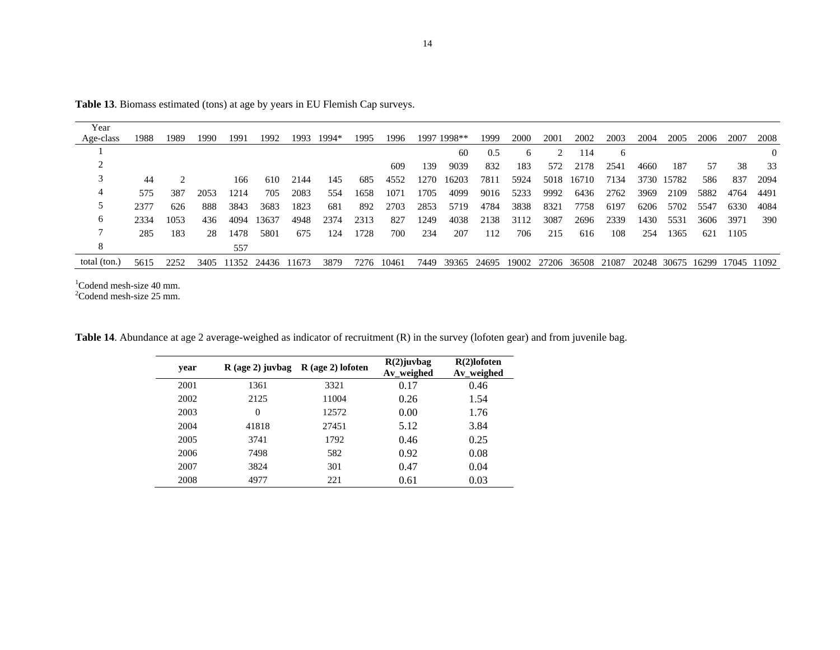| Year         |      |      |      |       |       |       |       |      |       |      |             |       |       |       |       |       |      |             |       |       |       |
|--------------|------|------|------|-------|-------|-------|-------|------|-------|------|-------------|-------|-------|-------|-------|-------|------|-------------|-------|-------|-------|
| Age-class    | 1988 | 1989 | 1990 | 1991  | 1992  | 1993  | 1994* | 1995 | 1996  |      | 1997 1998** | 1999  | 2000  | 2001  | 2002  | 2003  | 2004 | 2005        | 2006  | 2007  | 2008  |
|              |      |      |      |       |       |       |       |      |       |      | 60          | 0.5   | 6     |       | 114   | 6     |      |             |       |       |       |
|              |      |      |      |       |       |       |       |      | 609   | 139  | 9039        | 832   | 183   | 572   | 2178  | 2541  | 4660 | 187         | 57    | 38    | 33    |
|              | 44   |      |      | 166   | 610   | 2144  | 145   | 685  | 4552  | 1270 | 16203       | 7811  | 5924  | 5018  | 16710 | 7134  |      | 3730 15782  | 586   | -837  | 2094  |
| 4            | 575  | 387  | 2053 | 1214  | 705   | 2083  | 554   | 1658 | 1071  | 1705 | 4099        | 9016  | 5233  | 9992  | 6436  | 2762  | 3969 | 2109        | 5882  | 4764  | 4491  |
|              | 2377 | 626  | 888  | 3843  | 3683  | 1823  | 681   | 892  | 2703  | 2853 | 5719        | 4784  | 3838  | 8321  | 7758  | 6197  | 6206 | 5702        | 5547  | 6330  | 4084  |
| 6            | 2334 | 1053 | 436  | 4094  | 3637  | 4948  | 2374  | 2313 | 827   | 1249 | 4038        | 2138  | 3112  | 3087  | 2696  | 2339  | 1430 | 5531        | 3606  | 3971  | 390   |
|              | 285  | 183  | 28   | 1478  | 5801  | 675   | 124   | 1728 | 700   | 234  | 207         | 112   | 706   | 215   | 616   | 108   | 254  | 1365        | 621   | 1105  |       |
| 8            |      |      |      | 557   |       |       |       |      |       |      |             |       |       |       |       |       |      |             |       |       |       |
| total (ton.) | 5615 | 2252 | 3405 | 11352 | 24436 | 11673 | 3879  | 7276 | 10461 | 7449 | 39365       | 24695 | 19002 | 27206 | 36508 | 21087 |      | 20248 30675 | 16299 | 17045 | 11092 |
|              |      |      |      |       |       |       |       |      |       |      |             |       |       |       |       |       |      |             |       |       |       |

**Table 13**. Biomass estimated (tons) at age by years in EU Flemish Cap surveys.

 $1$ Codend mesh-size 40 mm.<br>  $2$ Codend mesh-size 25 mm.

 $\sim$ 

**Table 14**. Abundance at age 2 average-weighed as indicator of recruitment (R) in the survey (lofoten gear) and from juvenile bag.

| year | $R$ (age 2) juvbag | $R$ (age 2) lofoten | $R(2)$ juvbag<br>Av_weighed | $R(2)$ lofoten<br>Av_weighed |
|------|--------------------|---------------------|-----------------------------|------------------------------|
| 2001 | 1361               | 3321                | 0.17                        | 0.46                         |
| 2002 | 2125               | 11004               | 0.26                        | 1.54                         |
| 2003 | $\theta$           | 12572               | 0.00                        | 1.76                         |
| 2004 | 41818              | 27451               | 5.12                        | 3.84                         |
| 2005 | 3741               | 1792                | 0.46                        | 0.25                         |
| 2006 | 7498               | 582                 | 0.92                        | 0.08                         |
| 2007 | 3824               | 301                 | 0.47                        | 0.04                         |
| 2008 | 4977               | 221                 | 0.61                        | 0.03                         |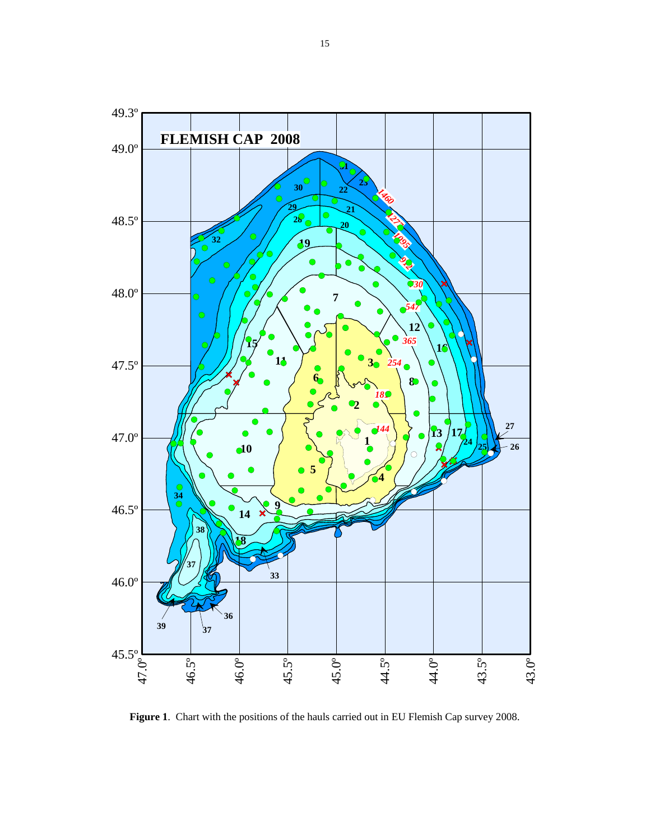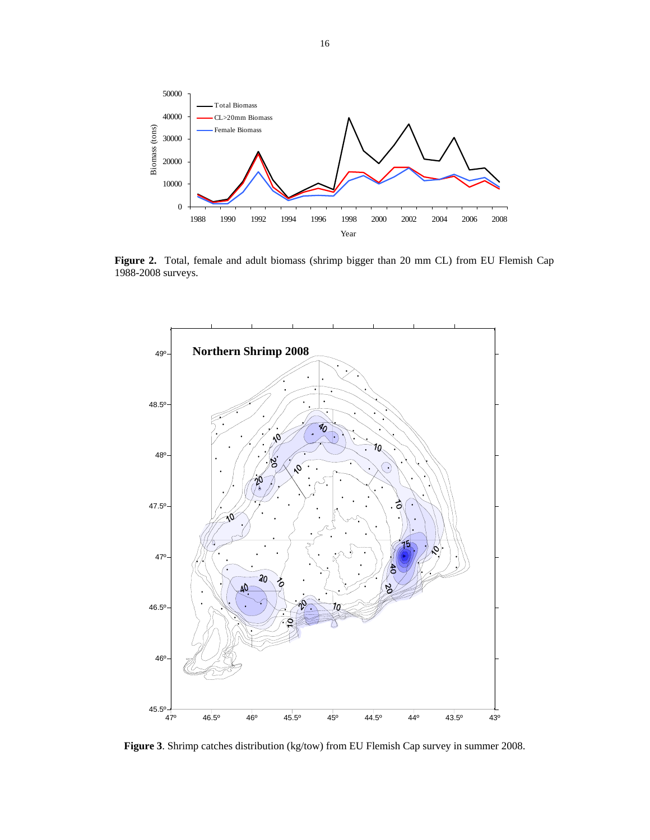

**Figure 2.** Total, female and adult biomass (shrimp bigger than 20 mm CL) from EU Flemish Cap 1988-2008 surveys.



**Figure 3**. Shrimp catches distribution (kg/tow) from EU Flemish Cap survey in summer 2008.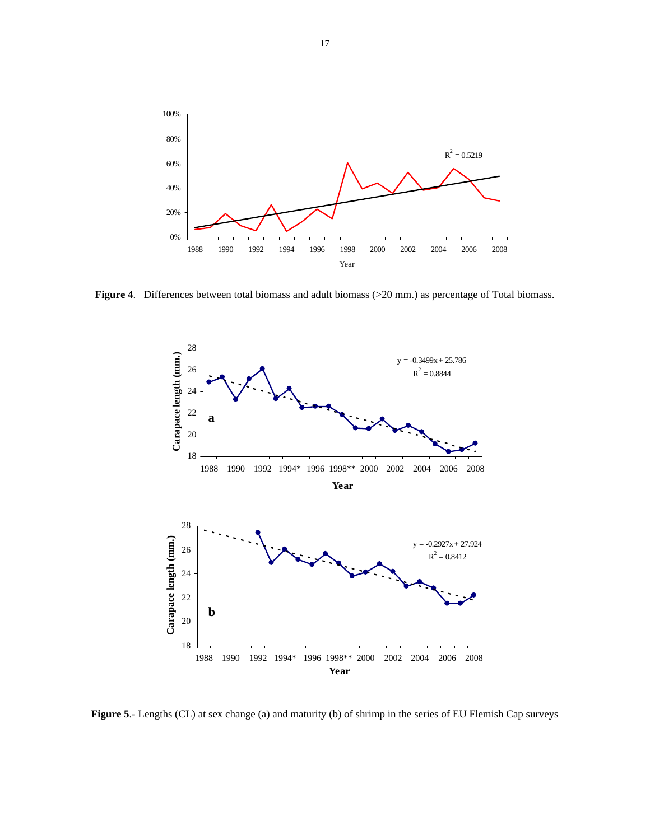

**Figure 4**. Differences between total biomass and adult biomass (>20 mm.) as percentage of Total biomass.



**Figure 5**.- Lengths (CL) at sex change (a) and maturity (b) of shrimp in the series of EU Flemish Cap surveys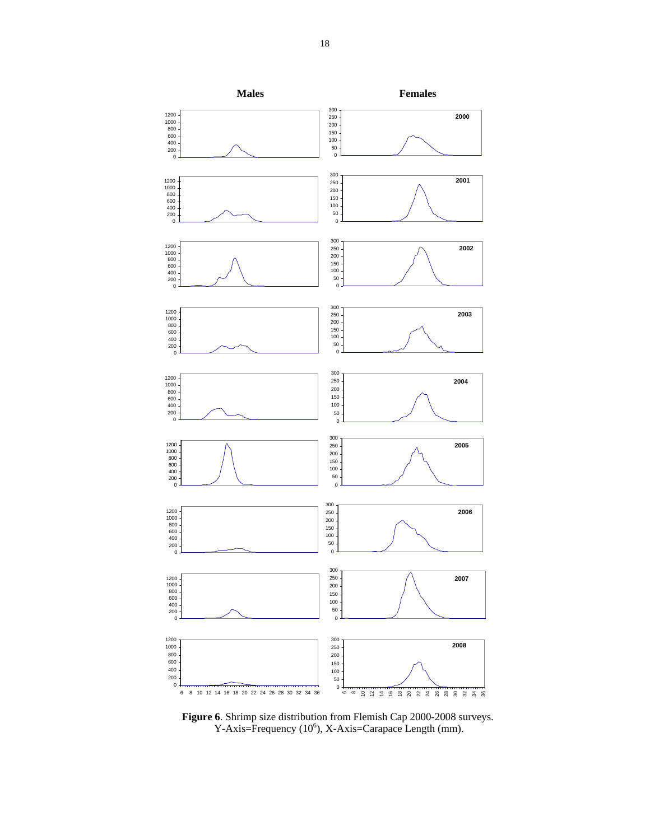

**Figure 6**. Shrimp size distribution from Flemish Cap 2000-2008 surveys.  $Y-Axis = Frequency (10<sup>6</sup>), X-Axis = Carapace Length (mm).$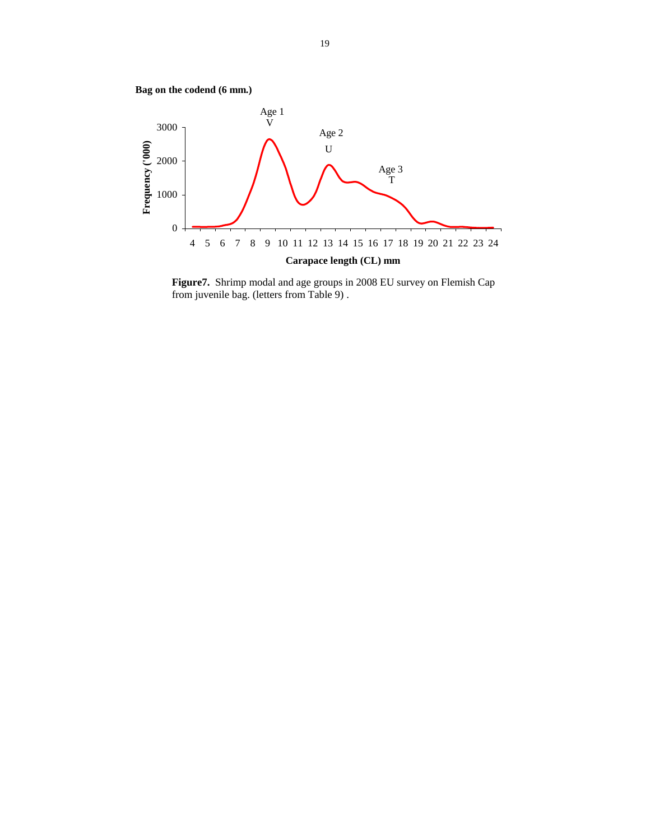



**Figure7.** Shrimp modal and age groups in 2008 EU survey on Flemish Cap from juvenile bag. (letters from Table 9) .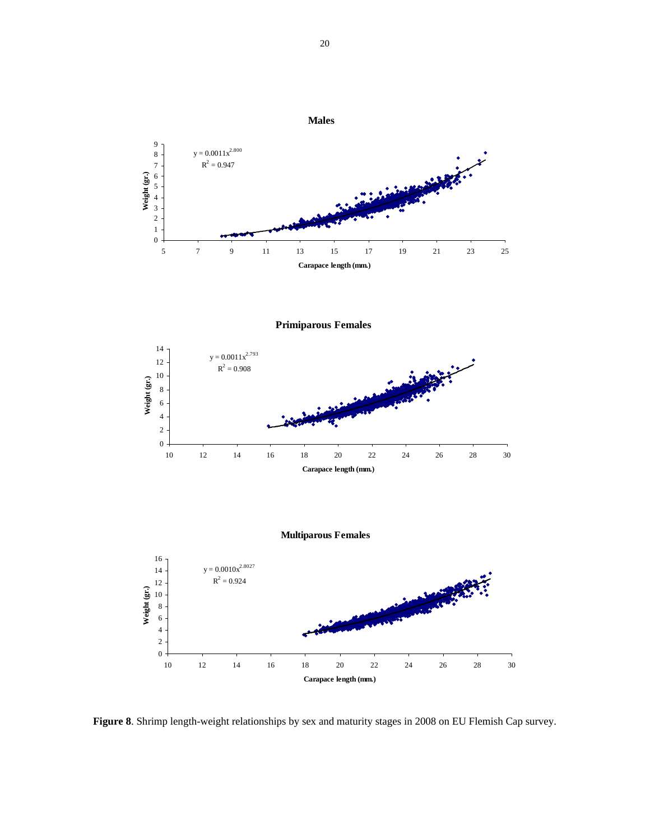

**Figure 8**. Shrimp length-weight relationships by sex and maturity stages in 2008 on EU Flemish Cap survey.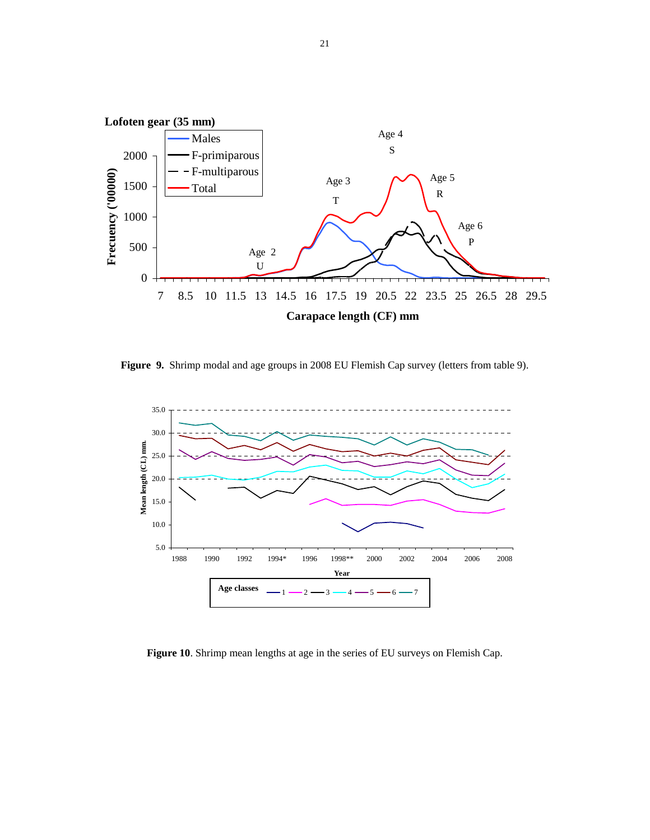

**Figure 9.** Shrimp modal and age groups in 2008 EU Flemish Cap survey (letters from table 9).



**Figure 10**. Shrimp mean lengths at age in the series of EU surveys on Flemish Cap.